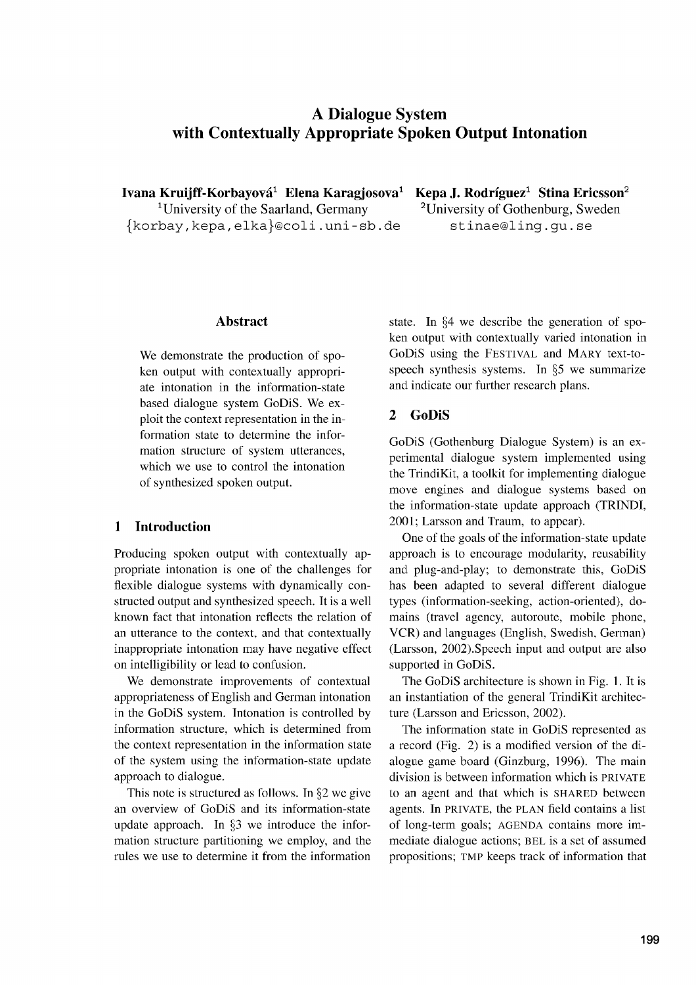# **A Dialogue System with Contextually Appropriate Spoken Output Intonation**

**Ivana Kruijff-Korbayovai Elena Karagjosoval Kepa J. Rodriguez' Stina Ericsson'** <sup>1</sup>University of the Saarland, Germany  $\frac{1}{2}$ University of Gothenburg, Sweden fkorbay,kepa,elkal@coli.uni - sb.de stinae@ling.gu.se

### **Abstract**

We demonstrate the production of spoken output with contextually appropriate intonation in the information-state based dialogue system GoDiS. We exploit the context representation in the information state to determine the information structure of system utterances, which we use to control the intonation of synthesized spoken output.

### **1 Introduction**

Producing spoken output with contextually appropriate intonation is one of the challenges for flexible dialogue systems with dynamically constructed output and synthesized speech. It is a well known fact that intonation reflects the relation of an utterance to the context, and that contextually inappropriate intonation may have negative effect on intelligibility or lead to confusion.

We demonstrate improvements of contextual appropriateness of English and German intonation in the GoDiS system. Intonation is controlled by information structure, which is determined from the context representation in the information state of the system using the information-state update approach to dialogue.

This note is structured as follows. In §2 we give an overview of GoDiS and its information-state update approach. In §3 we introduce the information structure partitioning we employ, and the rules we use to determine it from the information state. In §4 we describe the generation of spoken output with contextually varied intonation in GoDiS using the FESTIVAL and MARY text-tospeech synthesis systems. In §5 we summarize and indicate our further research plans.

#### **2 GoDiS**

GoDiS (Gothenburg Dialogue System) is an experimental dialogue system implemented using the TrindiKit, a toolkit for implementing dialogue move engines and dialogue systems based on the information-state update approach (TRINDI, 2001; Larsson and Traum, to appear).

One of the goals of the information-state update approach is to encourage modularity, reusability and plug-and-play; to demonstrate this, GoDiS has been adapted to several different dialogue types (information-seeking, action-oriented), domains (travel agency, autoroute, mobile phone, VCR) and languages (English, Swedish, German) (Larsson, 2002).Speech input and output are also supported in GoDiS.

The GoDiS architecture is shown in Fig. 1. It is an instantiation of the general TrindiKit architecture (Larsson and Ericsson, 2002).

The information state in GoDiS represented as a record (Fig. 2) is a modified version of the dialogue game board (Ginzburg, 1996). The main division is between information which is PRIVATE to an agent and that which is SHARED between agents. In PRIVATE, the PLAN field contains a list of long-term goals; AGENDA contains more immediate dialogue actions; BEL is a set of assumed propositions; TMP keeps track of information that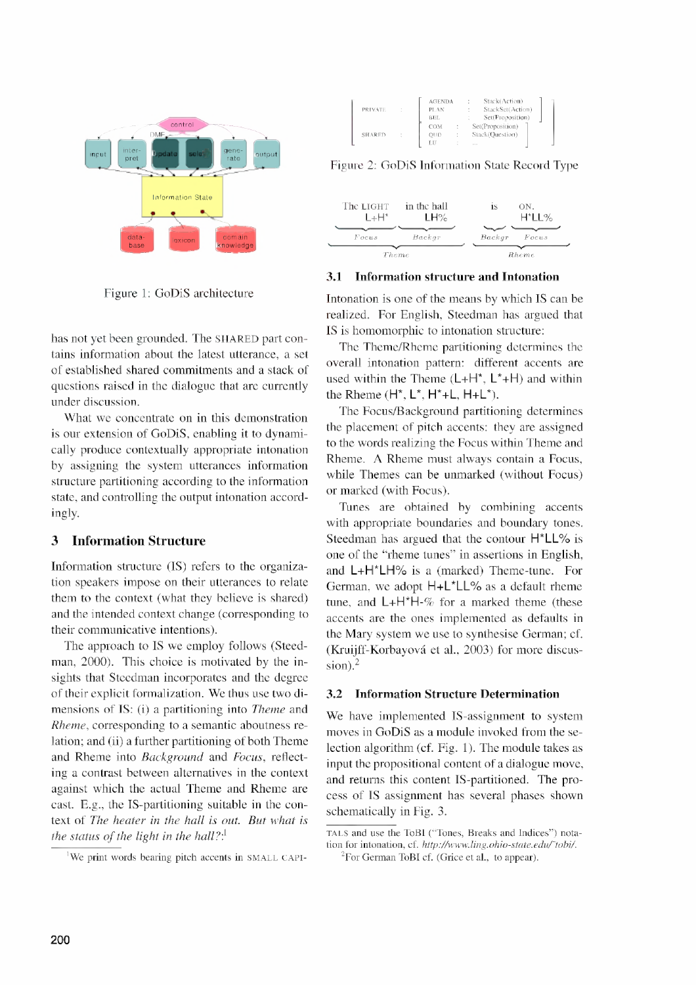

Figure 1: GoDiS architecture

has not yet been grounded. The SHARED part contains information about the latest utterance, a set of established shared commitments and a stack of questions raised in the dialogue that are currently under discussion.

What we concentrate on in this demonstration is our extension of GoDiS, enabling it to dynamically produce contextually appropriate intonation by assigning the system utterances information structure partitioning according to the information state, and controlling the output intonation accordingly.

#### **3 Information Structure**

Information structure (IS) refers to the organization speakers impose on their utterances to relate them to the context (what they believe is shared) and the intended context change (corresponding to their communicative intentions).

The approach to IS we employ follows (Steedman, 2000). This choice is motivated by the insights that Steedman incorporates and the degree of their explicit formalization. We thus use two dimensions of IS: (i) a partitioning into *Theme* and *Rheme,* corresponding to a semantic aboutness relation; and (ii) a further partitioning of both Theme and Rheme into *Background* and *Focus,* reflecting a contrast between alternatives in the context against which the actual Theme and Rheme are cast. E.g., the IS-partitioning suitable in the context of *The heater in the hall is out. But what is the status of the light in the hail?:'*

| <b>PRIVATE</b> | <b>AGENDA</b><br>PLAN<br>BEL. |         | Stack(Action)<br>StackSet(Action)<br>Set(Proposition) |  |
|----------------|-------------------------------|---------|-------------------------------------------------------|--|
| <b>SHARED</b>  | COM<br>OUD<br>LU              | $x + 1$ | Set(Proposition)<br>Stack(Ouestion)                   |  |

Figure 2: GoDiS Information State Record Type

| The LIGHT.<br>$1 + H^*$ | in the hall<br>$H^{\rm o}/\sim$ | ıs           | ON.<br>$H^*LL$ % |  |
|-------------------------|---------------------------------|--------------|------------------|--|
| Focus                   | Backgr                          | Backgr Focus |                  |  |
| Theme                   |                                 |              | Rheme            |  |

**3.1 Information structure and Intonation**

Intonation is one of the means by which IS can be realized. For English, Steedman has argued that IS is homomorphic to intonation structure:

The Theme/Rheme partitioning determines the overall intonation pattern: different accents are used within the Theme  $(L+H^*, L^*+H)$  and within the Rheme **(H\*, L\*, H\*+L, H+L\*).**

The Focus/Background partitioning determines the placement of pitch accents: they are assigned to the words realizing the Focus within Theme and Rheme. A Rheme must always contain a Focus, while Themes can be unmarked (without Focus) or marked (with Focus).

Tunes are obtained by combining accents with appropriate boundaries and boundary tones. Steedman has argued that the contour  $H^*LL\%$  is one of the "rheme tunes" in assertions in English, and L+H<sup>\*</sup>LH% is a (marked) Theme-tune. For German, we adopt **H+L\*LL%** as a default rheme tune, and **L+H\*H-%** for a marked theme (these accents are the ones implemented as defaults in the Mary system we use to synthesise German; cf. (Kruijff-Korbayová et al., 2003) for more discus- $\sinh^2$ 

#### **3.2 Information Structure Determination**

We have implemented IS-assignment to system moves in GoDiS as a module invoked from the selection algorithm (cf. Fig. 1). The module takes as input the propositional content of a dialogue move, and returns this content IS-partitioned. The process of IS assignment has several phases shown schematically in Fig. 3.

<sup>&</sup>lt;sup>1</sup>We print words bearing pitch accents in SMALL CAPI-

TALS and use the ToBI ("Tones, Breaks and Indices") notation for intonation, cf. http://www.ling.ohio-state.edu/<sup>\*</sup>tobi/.

 ${}^{2}$ For German ToBI cf. (Grice et al., to appear).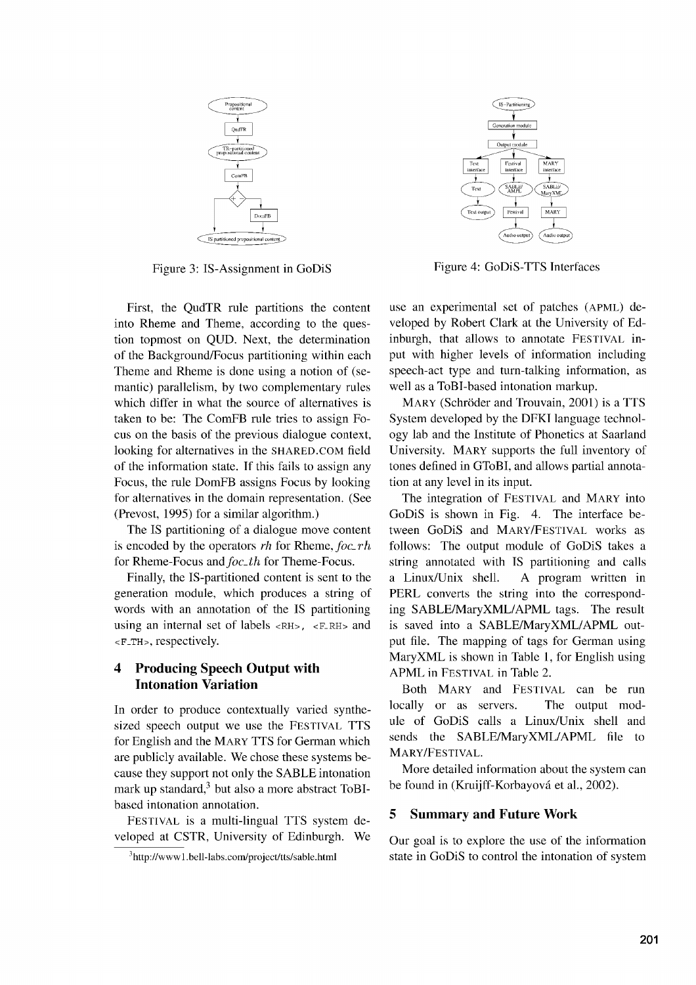

Figure 3: IS-Assignment in GoDiS

First, the QudTR rule partitions the content into Rheme and Theme, according to the question topmost on QUD. Next, the determination of the Background/Focus partitioning within each Theme and Rheme is done using a notion of (semantic) parallelism, by two complementary rules which differ in what the source of alternatives is taken to be: The ComFB rule tries to assign Focus on the basis of the previous dialogue context, looking for alternatives in the SHARED.COM field of the information state. If this fails to assign any Focus, the rule DomFB assigns Focus by looking for alternatives in the domain representation. (See (Prevost, 1995) for a similar algorithm.)

The IS partitioning of a dialogue move content is encoded by the operators *rh* for Rheme, *foc\_rh* for Rheme-Focus and *foc\_th* for Theme-Focus.

Finally, the IS-partitioned content is sent to the generation module, which produces a string of words with an annotation of the IS partitioning using an internal set of labels  $\langle$ RH $>$ ,  $\langle$ E\_RH $>$  and <F\_TH>, respectively.

## **4 Producing Speech Output with Intonation Variation**

In order to produce contextually varied synthesized speech output we use the FESTIVAL TTS for English and the MARY TTS for German which are publicly available. We chose these systems because they support not only the SABLE intonation mark up standard, $3$  but also a more abstract ToBIbased intonation annotation.

FESTIVAL is a multi-lingual TTS system developed at CSTR, University of Edinburgh. We



Figure 4: GoDiS-TTS Interfaces

use an experimental set of patches (APML) developed by Robert Clark at the University of Edinburgh, that allows to annotate FESTIVAL input with higher levels of information including speech-act type and turn-talking information, as well as a ToBI-based intonation markup.

MARY (Schröder and Trouvain, 2001) is a TTS System developed by the DFKI language technology lab and the Institute of Phonetics at Saarland University. MARY supports the full inventory of tones defined in GToBI, and allows partial annotation at any level in its input.

The integration of FESTIVAL and MARY into GoDiS is shown in Fig. 4. The interface between GoDiS and MARY/FESTIVAL works as follows: The output module of GoDiS takes a string annotated with IS partitioning and calls a Linux/Unix shell. A program written in PERL converts the string into the corresponding SABLE/MaryXML/APML tags. The result is saved into a SABLE/MaryXML/APML output file. The mapping of tags for German using MaryXML is shown in Table 1, for English using APML in FESTIVAL in Table 2.

Both MARY and FESTIVAL can be run locally or as servers. The output module of GoDiS calls a Linux/Unix shell and sends the SABLE/MaryXML/APML file to MARY/FESTIVAL.

More detailed information about the system can be found in (Kruijff-Korbayová et al., 2002).

#### **5 Summary and Future Work**

Our goal is to explore the use of the information state in GoDiS to control the intonation of system

<sup>&</sup>lt;sup>3</sup>http://www1.bell-labs.com/project/tts/sable.html